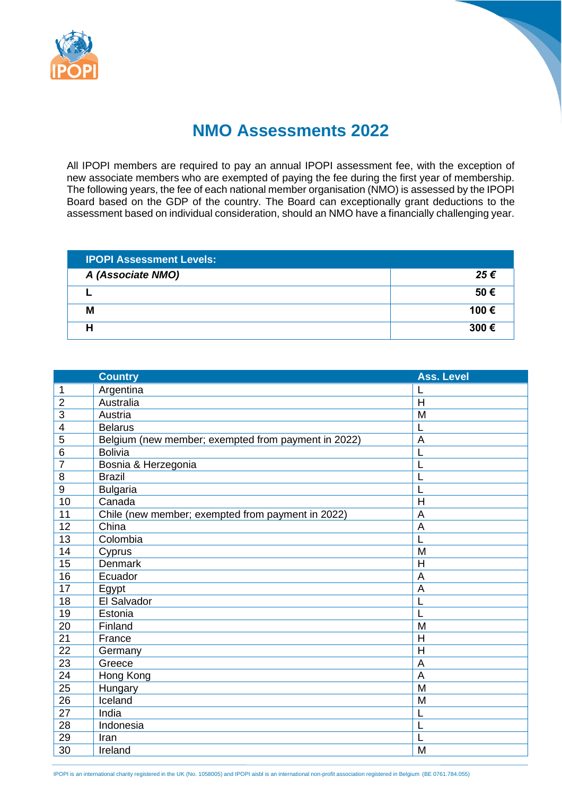

## **NMO Assessments 2022**

All IPOPI members are required to pay an annual IPOPI assessment fee, with the exception of new associate members who are exempted of paying the fee during the first year of membership. The following years, the fee of each national member organisation (NMO) is assessed by the IPOPI Board based on the GDP of the country. The Board can exceptionally grant deductions to the assessment based on individual consideration, should an NMO have a financially challenging year.

| <b>IPOPI Assessment Levels:</b> |      |
|---------------------------------|------|
| A (Associate NMO)               | 25€  |
|                                 | 50€  |
| Μ                               | 100€ |
|                                 | 300€ |

|                 | <b>Country</b>                                      | <b>Ass. Level</b> |
|-----------------|-----------------------------------------------------|-------------------|
| 1               | Argentina                                           |                   |
| $\overline{2}$  | Australia                                           | $\mathsf{H}$      |
| 3               | Austria                                             | M                 |
| 4               | <b>Belarus</b>                                      | L                 |
| 5               | Belgium (new member; exempted from payment in 2022) | A                 |
| 6               | <b>Bolivia</b>                                      |                   |
| $\overline{7}$  | Bosnia & Herzegonia                                 |                   |
| 8               | <b>Brazil</b>                                       |                   |
| $9\,$           | <b>Bulgaria</b>                                     |                   |
| 10              | Canada                                              | H                 |
| 11              | Chile (new member; exempted from payment in 2022)   | $\overline{A}$    |
| 12              | China                                               | A                 |
| 13              | Colombia                                            |                   |
| 14              | Cyprus                                              | M                 |
| 15              | <b>Denmark</b>                                      | H                 |
| 16              | Ecuador                                             | $\overline{A}$    |
| 17              | Egypt                                               | A                 |
| 18              | El Salvador                                         | L                 |
| 19              | Estonia                                             |                   |
| 20              | Finland                                             | M                 |
| 21              | France                                              | $\overline{H}$    |
| $\overline{22}$ | Germany                                             | $\overline{H}$    |
| 23              | Greece                                              | A                 |
| 24              | Hong Kong                                           | $\overline{A}$    |
| $\overline{25}$ | Hungary                                             | $\overline{M}$    |
| 26              | Iceland                                             | M                 |
| 27              | India                                               | L                 |
| 28              | Indonesia                                           | L                 |
| 29              | Iran                                                |                   |
| 30              | Ireland                                             | M                 |